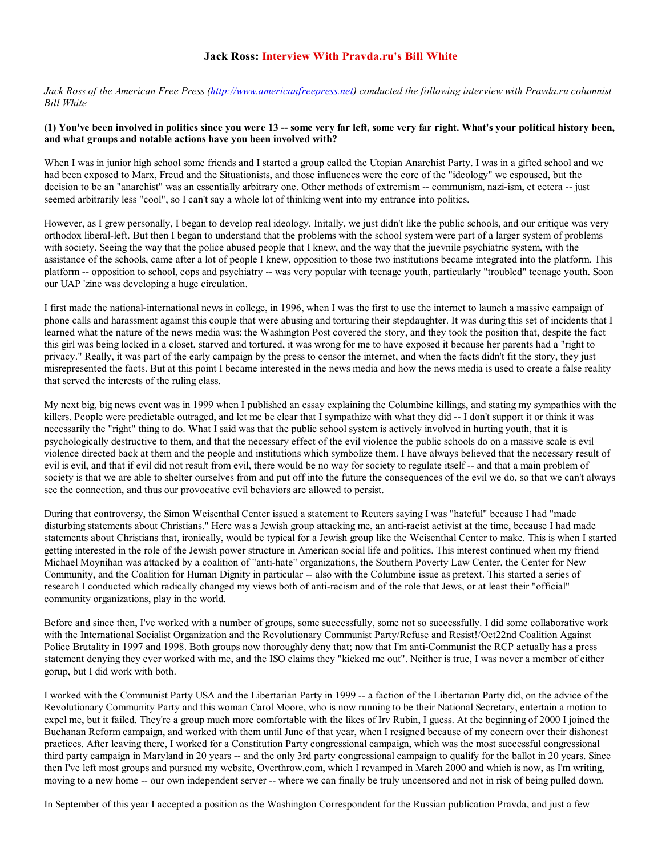## Jack Ross: Interview With Pravda.ru's Bill White

Jack Ross of the American Free Press (http://www.americanfreepress.net) conducted the following interview with Pravda.ru columnist Bill White

## (1) You've been involved in politics since you were 13 -- some very far left, some very far right. What's your political history been, and what groups and notable actions have you been involved with?

When I was in junior high school some friends and I started a group called the Utopian Anarchist Party. I was in a gifted school and we had been exposed to Marx, Freud and the Situationists, and those influences were the core of the "ideology" we espoused, but the decision to be an "anarchist" was an essentially arbitrary one. Other methods of extremism -- communism, nazi-ism, et cetera -- just seemed arbitrarily less "cool", so I can't say a whole lot of thinking went into my entrance into politics.

However, as I grew personally, I began to develop real ideology. Initally, we just didn't like the public schools, and our critique was very orthodox liberal-left. But then I began to understand that the problems with the school system were part of a larger system of problems with society. Seeing the way that the police abused people that I knew, and the way that the juevnile psychiatric system, with the assistance of the schools, came after a lot of people I knew, opposition to those two institutions became integrated into the platform. This platform -- opposition to school, cops and psychiatry -- was very popular with teenage youth, particularly "troubled" teenage youth. Soon our UAP 'zine was developing a huge circulation.

I first made the national-international news in college, in 1996, when I was the first to use the internet to launch a massive campaign of phone calls and harassment against this couple that were abusing and torturing their stepdaughter. It was during this set of incidents that I learned what the nature of the news media was: the Washington Post covered the story, and they took the position that, despite the fact this girl was being locked in a closet, starved and tortured, it was wrong for me to have exposed it because her parents had a "right to privacy." Really, it was part of the early campaign by the press to censor the internet, and when the facts didn't fit the story, they just misrepresented the facts. But at this point I became interested in the news media and how the news media is used to create a false reality that served the interests of the ruling class.

My next big, big news event was in 1999 when I published an essay explaining the Columbine killings, and stating my sympathies with the killers. People were predictable outraged, and let me be clear that I sympathize with what they did -- I don't support it or think it was necessarily the "right" thing to do. What I said was that the public school system is actively involved in hurting youth, that it is psychologically destructive to them, and that the necessary effect of the evil violence the public schools do on a massive scale is evil violence directed back at them and the people and institutions which symbolize them. I have always believed that the necessary result of evil is evil, and that if evil did not result from evil, there would be no way for society to regulate itself -- and that a main problem of society is that we are able to shelter ourselves from and put off into the future the consequences of the evil we do, so that we can't always see the connection, and thus our provocative evil behaviors are allowed to persist.

During that controversy, the Simon Weisenthal Center issued a statement to Reuters saying I was "hateful" because I had "made disturbing statements about Christians." Here was a Jewish group attacking me, an anti-racist activist at the time, because I had made statements about Christians that, ironically, would be typical for a Jewish group like the Weisenthal Center to make. This is when I started getting interested in the role of the Jewish power structure in American social life and politics. This interest continued when my friend Michael Moynihan was attacked by a coalition of "anti-hate" organizations, the Southern Poverty Law Center, the Center for New Community, and the Coalition for Human Dignity in particular -- also with the Columbine issue as pretext. This started a series of research I conducted which radically changed my views both of anti-racism and of the role that Jews, or at least their "official" community organizations, play in the world.

Before and since then, I've worked with a number of groups, some successfully, some not so successfully. I did some collaborative work with the International Socialist Organization and the Revolutionary Communist Party/Refuse and Resist!/Oct22nd Coalition Against Police Brutality in 1997 and 1998. Both groups now thoroughly deny that; now that I'm anti-Communist the RCP actually has a press statement denying they ever worked with me, and the ISO claims they "kicked me out". Neither is true, I was never a member of either gorup, but I did work with both.

I worked with the Communist Party USA and the Libertarian Party in 1999 -- a faction of the Libertarian Party did, on the advice of the Revolutionary Community Party and this woman Carol Moore, who is now running to be their National Secretary, entertain a motion to expel me, but it failed. They're a group much more comfortable with the likes of Irv Rubin, I guess. At the beginning of 2000 I joined the Buchanan Reform campaign, and worked with them until June of that year, when I resigned because of my concern over their dishonest practices. After leaving there, I worked for a Constitution Party congressional campaign, which was the most successful congressional third party campaign in Maryland in 20 years -- and the only 3rd party congressional campaign to qualify for the ballot in 20 years. Since then I've left most groups and pursued my website, Overthrow.com, which I revamped in March 2000 and which is now, as I'm writing, moving to a new home -- our own independent server -- where we can finally be truly uncensored and not in risk of being pulled down.

In September of this year I accepted a position as the Washington Correspondent for the Russian publication Pravda, and just a few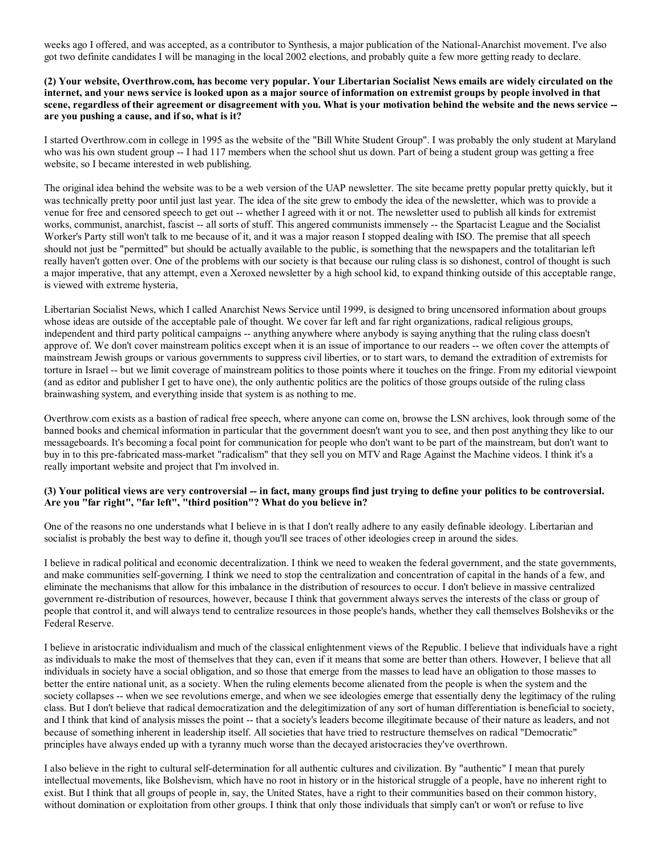weeks ago I offered, and was accepted, as a contributor to Synthesis, a major publication of the National-Anarchist movement. I've also got two definite candidates I will be managing in the local 2002 elections, and probably quite a few more getting ready to declare.

## (2) Your website, Overthrow.com, has become very popular. Your Libertarian Socialist News emails are widely circulated on the internet, and your news service is looked upon as a major source of information on extremist groups by people involved in that scene, regardless of their agreement or disagreement with you. What is your motivation behind the website and the news service - are you pushing a cause, and if so, what is it?

I started Overthrow.com in college in 1995 as the website of the "Bill White Student Group". I was probably the only student at Maryland who was his own student group -- I had 117 members when the school shut us down. Part of being a student group was getting a free website, so I became interested in web publishing.

The original idea behind the website was to be a web version of the UAP newsletter. The site became pretty popular pretty quickly, but it was technically pretty poor until just last year. The idea of the site grew to embody the idea of the newsletter, which was to provide a venue for free and censored speech to get out -- whether I agreed with it or not. The newsletter used to publish all kinds for extremist works, communist, anarchist, fascist -- all sorts of stuff. This angered communists immensely -- the Spartacist League and the Socialist Worker's Party still won't talk to me because of it, and it was a major reason I stopped dealing with ISO. The premise that all speech should not just be "permitted" but should be actually available to the public, is something that the newspapers and the totalitarian left really haven't gotten over. One of the problems with our society is that because our ruling class is so dishonest, control of thought is such a major imperative, that any attempt, even a Xeroxed newsletter by a high school kid, to expand thinking outside of this acceptable range, is viewed with extreme hysteria,

Libertarian Socialist News, which I called Anarchist News Service until 1999, is designed to bring uncensored information about groups whose ideas are outside of the acceptable pale of thought. We cover far left and far right organizations, radical religious groups, independent and third party political campaigns -- anything anywhere where anybody is saying anything that the ruling class doesn't approve of. We don't cover mainstream politics except when it is an issue of importance to our readers -- we often cover the attempts of mainstream Jewish groups or various governments to suppress civil liberties, or to start wars, to demand the extradition of extremists for torture in Israel -- but we limit coverage of mainstream politics to those points where it touches on the fringe. From my editorial viewpoint (and as editor and publisher I get to have one), the only authentic politics are the politics of those groups outside of the ruling class brainwashing system, and everything inside that system is as nothing to me.

Overthrow.com exists as a bastion of radical free speech, where anyone can come on, browse the LSN archives, look through some of the banned books and chemical information in particular that the government doesn't want you to see, and then post anything they like to our messageboards. It's becoming a focal point for communication for people who don't want to be part of the mainstream, but don't want to buy in to this pre-fabricated mass-market "radicalism" that they sell you on MTV and Rage Against the Machine videos. I think it's a really important website and project that I'm involved in.

#### (3) Your political views are very controversial -- in fact, many groups find just trying to define your politics to be controversial. Are you "far right", "far left", "third position"? What do you believe in?

One of the reasons no one understands what I believe in is that I don't really adhere to any easily definable ideology. Libertarian and socialist is probably the best way to define it, though you'll see traces of other ideologies creep in around the sides.

I believe in radical political and economic decentralization. I think we need to weaken the federal government, and the state governments, and make communities self-governing. I think we need to stop the centralization and concentration of capital in the hands of a few, and eliminate the mechanisms that allow for this imbalance in the distribution of resources to occur. I don't believe in massive centralized government re-distribution of resources, however, because I think that government always serves the interests of the class or group of people that control it, and will always tend to centralize resources in those people's hands, whether they call themselves Bolsheviks or the Federal Reserve.

I believe in aristocratic individualism and much of the classical enlightenment views of the Republic. I believe that individuals have a right as individuals to make the most of themselves that they can, even if it means that some are better than others. However, I believe that all individuals in society have a social obligation, and so those that emerge from the masses to lead have an obligation to those masses to better the entire national unit, as a society. When the ruling elements become alienated from the people is when the system and the society collapses -- when we see revolutions emerge, and when we see ideologies emerge that essentially deny the legitimacy of the ruling class. But I don't believe that radical democratization and the delegitimization of any sort of human differentiation is beneficial to society, and I think that kind of analysis misses the point -- that a society's leaders become illegitimate because of their nature as leaders, and not because of something inherent in leadership itself. All societies that have tried to restructure themselves on radical "Democratic" principles have always ended up with a tyranny much worse than the decayed aristocracies they've overthrown.

I also believe in the right to cultural self-determination for all authentic cultures and civilization. By "authentic" I mean that purely intellectual movements, like Bolshevism, which have no root in history or in the historical struggle of a people, have no inherent right to exist. But I think that all groups of people in, say, the United States, have a right to their communities based on their common history, without domination or exploitation from other groups. I think that only those individuals that simply can't or won't or refuse to live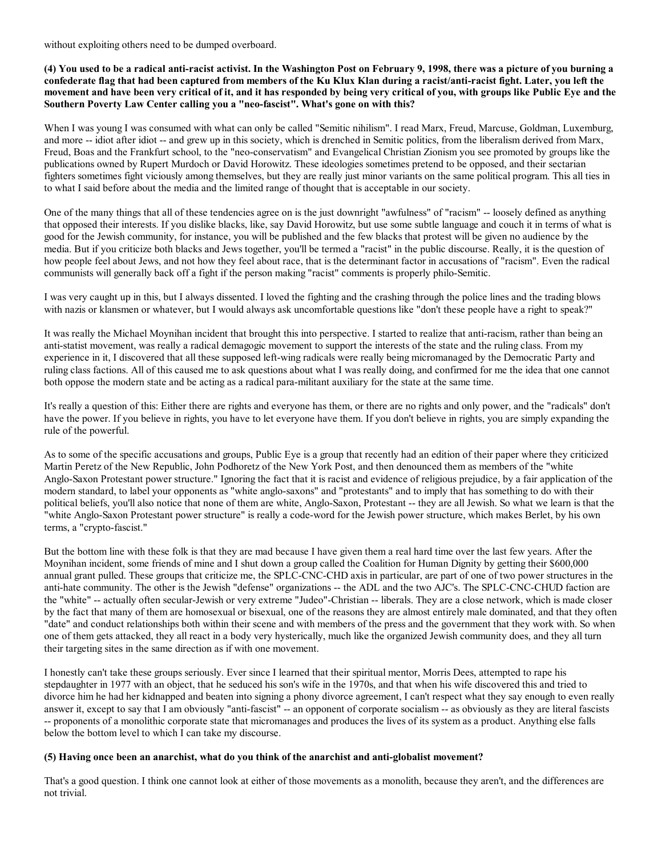without exploiting others need to be dumped overboard.

(4) You used to be a radical anti-racist activist. In the Washington Post on February 9, 1998, there was a picture of you burning a confederate flag that had been captured from members of the Ku Klux Klan during a racist/anti-racist fight. Later, you left the movement and have been very critical of it, and it has responded by being very critical of you, with groups like Public Eye and the Southern Poverty Law Center calling you a "neo-fascist". What's gone on with this?

When I was young I was consumed with what can only be called "Semitic nihilism". I read Marx, Freud, Marcuse, Goldman, Luxemburg, and more -- idiot after idiot -- and grew up in this society, which is drenched in Semitic politics, from the liberalism derived from Marx, Freud, Boas and the Frankfurt school, to the "neo-conservatism" and Evangelical Christian Zionism you see promoted by groups like the publications owned by Rupert Murdoch or David Horowitz. These ideologies sometimes pretend to be opposed, and their sectarian fighters sometimes fight viciously among themselves, but they are really just minor variants on the same political program. This all ties in to what I said before about the media and the limited range of thought that is acceptable in our society.

One of the many things that all of these tendencies agree on is the just downright "awfulness" of "racism" -- loosely defined as anything that opposed their interests. If you dislike blacks, like, say David Horowitz, but use some subtle language and couch it in terms of what is good for the Jewish community, for instance, you will be published and the few blacks that protest will be given no audience by the media. But if you criticize both blacks and Jews together, you'll be termed a "racist" in the public discourse. Really, it is the question of how people feel about Jews, and not how they feel about race, that is the determinant factor in accusations of "racism". Even the radical communists will generally back off a fight if the person making "racist" comments is properly philo-Semitic.

I was very caught up in this, but I always dissented. I loved the fighting and the crashing through the police lines and the trading blows with nazis or klansmen or whatever, but I would always ask uncomfortable questions like "don't these people have a right to speak?"

It was really the Michael Moynihan incident that brought this into perspective. I started to realize that anti-racism, rather than being an anti-statist movement, was really a radical demagogic movement to support the interests of the state and the ruling class. From my experience in it, I discovered that all these supposed left-wing radicals were really being micromanaged by the Democratic Party and ruling class factions. All of this caused me to ask questions about what I was really doing, and confirmed for me the idea that one cannot both oppose the modern state and be acting as a radical para-militant auxiliary for the state at the same time.

It's really a question of this: Either there are rights and everyone has them, or there are no rights and only power, and the "radicals" don't have the power. If you believe in rights, you have to let everyone have them. If you don't believe in rights, you are simply expanding the rule of the powerful.

As to some of the specific accusations and groups, Public Eye is a group that recently had an edition of their paper where they criticized Martin Peretz of the New Republic, John Podhoretz of the New York Post, and then denounced them as members of the "white Anglo-Saxon Protestant power structure." Ignoring the fact that it is racist and evidence of religious prejudice, by a fair application of the modern standard, to label your opponents as "white anglo-saxons" and "protestants" and to imply that has something to do with their political beliefs, you'll also notice that none of them are white, Anglo-Saxon, Protestant -- they are all Jewish. So what we learn is that the "white Anglo-Saxon Protestant power structure" is really a code-word for the Jewish power structure, which makes Berlet, by his own terms, a "crypto-fascist."

But the bottom line with these folk is that they are mad because I have given them a real hard time over the last few years. After the Moynihan incident, some friends of mine and I shut down a group called the Coalition for Human Dignity by getting their \$600,000 annual grant pulled. These groups that criticize me, the SPLC-CNC-CHD axis in particular, are part of one of two power structures in the anti-hate community. The other is the Jewish "defense" organizations -- the ADL and the two AJC's. The SPLC-CNC-CHUD faction are the "white" -- actually often secular-Jewish or very extreme "Judeo"-Christian -- liberals. They are a close network, which is made closer by the fact that many of them are homosexual or bisexual, one of the reasons they are almost entirely male dominated, and that they often "date" and conduct relationships both within their scene and with members of the press and the government that they work with. So when one of them gets attacked, they all react in a body very hysterically, much like the organized Jewish community does, and they all turn their targeting sites in the same direction as if with one movement.

I honestly can't take these groups seriously. Ever since I learned that their spiritual mentor, Morris Dees, attempted to rape his stepdaughter in 1977 with an object, that he seduced his son's wife in the 1970s, and that when his wife discovered this and tried to divorce him he had her kidnapped and beaten into signing a phony divorce agreement, I can't respect what they say enough to even really answer it, except to say that I am obviously "anti-fascist" -- an opponent of corporate socialism -- as obviously as they are literal fascists -- proponents of a monolithic corporate state that micromanages and produces the lives of its system as a product. Anything else falls below the bottom level to which I can take my discourse.

#### (5) Having once been an anarchist, what do you think of the anarchist and anti-globalist movement?

That's a good question. I think one cannot look at either of those movements as a monolith, because they aren't, and the differences are not trivial.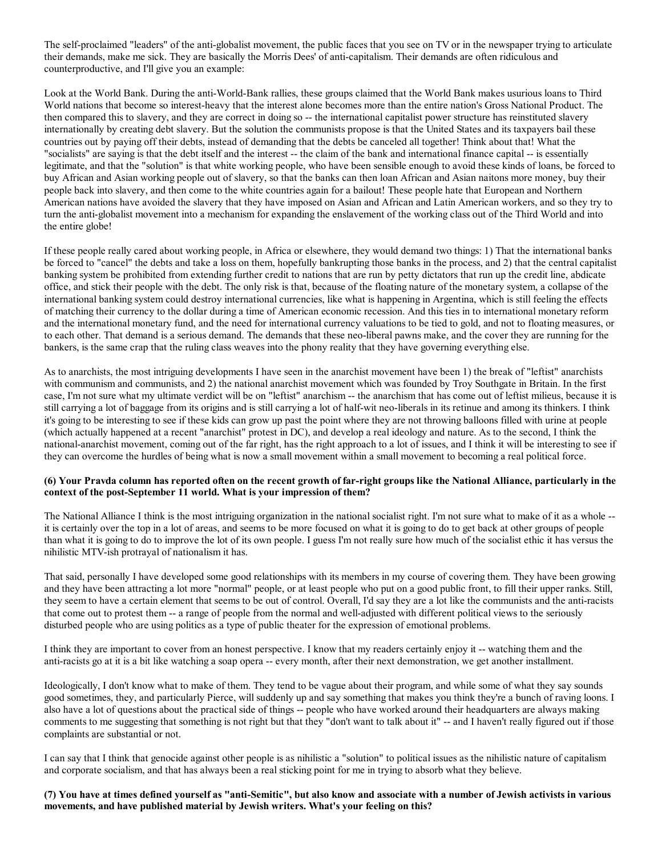The self-proclaimed "leaders" of the anti-globalist movement, the public faces that you see on TV or in the newspaper trying to articulate their demands, make me sick. They are basically the Morris Dees' of anti-capitalism. Their demands are often ridiculous and counterproductive, and I'll give you an example:

Look at the World Bank. During the anti-World-Bank rallies, these groups claimed that the World Bank makes usurious loans to Third World nations that become so interest-heavy that the interest alone becomes more than the entire nation's Gross National Product. The then compared this to slavery, and they are correct in doing so -- the international capitalist power structure has reinstituted slavery internationally by creating debt slavery. But the solution the communists propose is that the United States and its taxpayers bail these countries out by paying off their debts, instead of demanding that the debts be canceled all together! Think about that! What the "socialists" are saying is that the debt itself and the interest -- the claim of the bank and international finance capital -- is essentially legitimate, and that the "solution" is that white working people, who have been sensible enough to avoid these kinds of loans, be forced to buy African and Asian working people out of slavery, so that the banks can then loan African and Asian naitons more money, buy their people back into slavery, and then come to the white countries again for a bailout! These people hate that European and Northern American nations have avoided the slavery that they have imposed on Asian and African and Latin American workers, and so they try to turn the anti-globalist movement into a mechanism for expanding the enslavement of the working class out of the Third World and into the entire globe!

If these people really cared about working people, in Africa or elsewhere, they would demand two things: 1) That the international banks be forced to "cancel" the debts and take a loss on them, hopefully bankrupting those banks in the process, and 2) that the central capitalist banking system be prohibited from extending further credit to nations that are run by petty dictators that run up the credit line, abdicate office, and stick their people with the debt. The only risk is that, because of the floating nature of the monetary system, a collapse of the international banking system could destroy international currencies, like what is happening in Argentina, which is still feeling the effects of matching their currency to the dollar during a time of American economic recession. And this ties in to international monetary reform and the international monetary fund, and the need for international currency valuations to be tied to gold, and not to floating measures, or to each other. That demand is a serious demand. The demands that these neo-liberal pawns make, and the cover they are running for the bankers, is the same crap that the ruling class weaves into the phony reality that they have governing everything else.

As to anarchists, the most intriguing developments I have seen in the anarchist movement have been 1) the break of "leftist" anarchists with communism and communists, and 2) the national anarchist movement which was founded by Troy Southgate in Britain. In the first case, I'm not sure what my ultimate verdict will be on "leftist" anarchism -- the anarchism that has come out of leftist milieus, because it is still carrying a lot of baggage from its origins and is still carrying a lot of half-wit neo-liberals in its retinue and among its thinkers. I think it's going to be interesting to see if these kids can grow up past the point where they are not throwing balloons filled with urine at people (which actually happened at a recent "anarchist" protest in DC), and develop a real ideology and nature. As to the second, I think the national-anarchist movement, coming out of the far right, has the right approach to a lot of issues, and I think it will be interesting to see if they can overcome the hurdles of being what is now a small movement within a small movement to becoming a real political force.

## (6) Your Pravda column has reported often on the recent growth of far-right groups like the National Alliance, particularly in the context of the post-September 11 world. What is your impression of them?

The National Alliance I think is the most intriguing organization in the national socialist right. I'm not sure what to make of it as a whole - it is certainly over the top in a lot of areas, and seems to be more focused on what it is going to do to get back at other groups of people than what it is going to do to improve the lot of its own people. I guess I'm not really sure how much of the socialist ethic it has versus the nihilistic MTV-ish protrayal of nationalism it has.

That said, personally I have developed some good relationships with its members in my course of covering them. They have been growing and they have been attracting a lot more "normal" people, or at least people who put on a good public front, to fill their upper ranks. Still, they seem to have a certain element that seems to be out of control. Overall, I'd say they are a lot like the communists and the anti-racists that come out to protest them -- a range of people from the normal and well-adjusted with different political views to the seriously disturbed people who are using politics as a type of public theater for the expression of emotional problems.

I think they are important to cover from an honest perspective. I know that my readers certainly enjoy it -- watching them and the anti-racists go at it is a bit like watching a soap opera -- every month, after their next demonstration, we get another installment.

Ideologically, I don't know what to make of them. They tend to be vague about their program, and while some of what they say sounds good sometimes, they, and particularly Pierce, will suddenly up and say something that makes you think they're a bunch of raving loons. I also have a lot of questions about the practical side of things -- people who have worked around their headquarters are always making comments to me suggesting that something is not right but that they "don't want to talk about it" -- and I haven't really figured out if those complaints are substantial or not.

I can say that I think that genocide against other people is as nihilistic a "solution" to political issues as the nihilistic nature of capitalism and corporate socialism, and that has always been a real sticking point for me in trying to absorb what they believe.

(7) You have at times defined yourself as "anti-Semitic", but also know and associate with a number of Jewish activists in various movements, and have published material by Jewish writers. What's your feeling on this?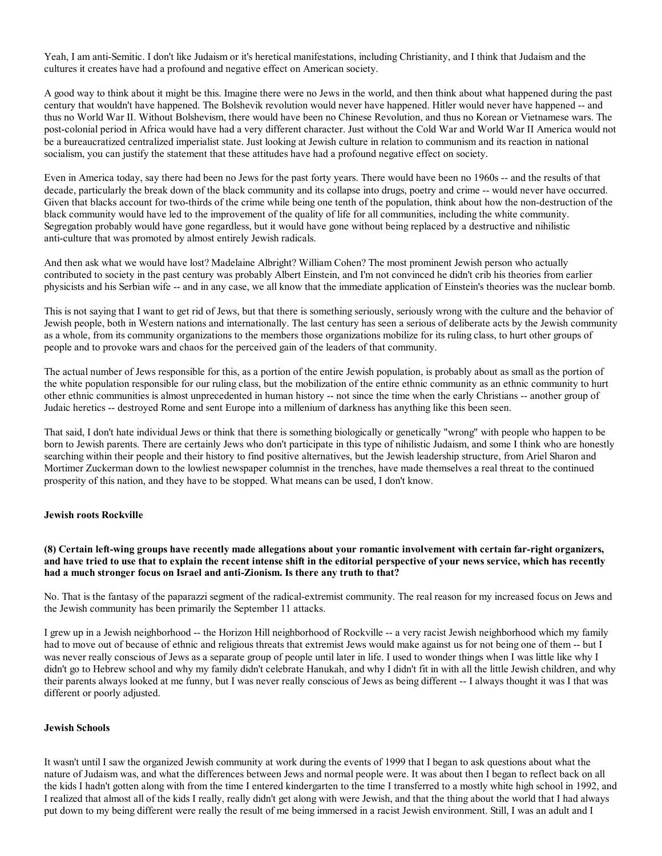Yeah, I am anti-Semitic. I don't like Judaism or it's heretical manifestations, including Christianity, and I think that Judaism and the cultures it creates have had a profound and negative effect on American society.

A good way to think about it might be this. Imagine there were no Jews in the world, and then think about what happened during the past century that wouldn't have happened. The Bolshevik revolution would never have happened. Hitler would never have happened -- and thus no World War II. Without Bolshevism, there would have been no Chinese Revolution, and thus no Korean or Vietnamese wars. The post-colonial period in Africa would have had a very different character. Just without the Cold War and World War II America would not be a bureaucratized centralized imperialist state. Just looking at Jewish culture in relation to communism and its reaction in national socialism, you can justify the statement that these attitudes have had a profound negative effect on society.

Even in America today, say there had been no Jews for the past forty years. There would have been no 1960s -- and the results of that decade, particularly the break down of the black community and its collapse into drugs, poetry and crime -- would never have occurred. Given that blacks account for two-thirds of the crime while being one tenth of the population, think about how the non-destruction of the black community would have led to the improvement of the quality of life for all communities, including the white community. Segregation probably would have gone regardless, but it would have gone without being replaced by a destructive and nihilistic anti-culture that was promoted by almost entirely Jewish radicals.

And then ask what we would have lost? Madelaine Albright? William Cohen? The most prominent Jewish person who actually contributed to society in the past century was probably Albert Einstein, and I'm not convinced he didn't crib his theories from earlier physicists and his Serbian wife -- and in any case, we all know that the immediate application of Einstein's theories was the nuclear bomb.

This is not saying that I want to get rid of Jews, but that there is something seriously, seriously wrong with the culture and the behavior of Jewish people, both in Western nations and internationally. The last century has seen a serious of deliberate acts by the Jewish community as a whole, from its community organizations to the members those organizations mobilize for its ruling class, to hurt other groups of people and to provoke wars and chaos for the perceived gain of the leaders of that community.

The actual number of Jews responsible for this, as a portion of the entire Jewish population, is probably about as small as the portion of the white population responsible for our ruling class, but the mobilization of the entire ethnic community as an ethnic community to hurt other ethnic communities is almost unprecedented in human history -- not since the time when the early Christians -- another group of Judaic heretics -- destroyed Rome and sent Europe into a millenium of darkness has anything like this been seen.

That said, I don't hate individual Jews or think that there is something biologically or genetically "wrong" with people who happen to be born to Jewish parents. There are certainly Jews who don't participate in this type of nihilistic Judaism, and some I think who are honestly searching within their people and their history to find positive alternatives, but the Jewish leadership structure, from Ariel Sharon and Mortimer Zuckerman down to the lowliest newspaper columnist in the trenches, have made themselves a real threat to the continued prosperity of this nation, and they have to be stopped. What means can be used, I don't know.

#### Jewish roots Rockville

(8) Certain left-wing groups have recently made allegations about your romantic involvement with certain far-right organizers, and have tried to use that to explain the recent intense shift in the editorial perspective of your news service, which has recently had a much stronger focus on Israel and anti-Zionism. Is there any truth to that?

No. That is the fantasy of the paparazzi segment of the radical-extremist community. The real reason for my increased focus on Jews and the Jewish community has been primarily the September 11 attacks.

I grew up in a Jewish neighborhood -- the Horizon Hill neighborhood of Rockville -- a very racist Jewish neighborhood which my family had to move out of because of ethnic and religious threats that extremist Jews would make against us for not being one of them -- but I was never really conscious of Jews as a separate group of people until later in life. I used to wonder things when I was little like why I didn't go to Hebrew school and why my family didn't celebrate Hanukah, and why I didn't fit in with all the little Jewish children, and why their parents always looked at me funny, but I was never really conscious of Jews as being different -- I always thought it was I that was different or poorly adjusted.

#### Jewish Schools

It wasn't until I saw the organized Jewish community at work during the events of 1999 that I began to ask questions about what the nature of Judaism was, and what the differences between Jews and normal people were. It was about then I began to reflect back on all the kids I hadn't gotten along with from the time I entered kindergarten to the time I transferred to a mostly white high school in 1992, and I realized that almost all of the kids I really, really didn't get along with were Jewish, and that the thing about the world that I had always put down to my being different were really the result of me being immersed in a racist Jewish environment. Still, I was an adult and I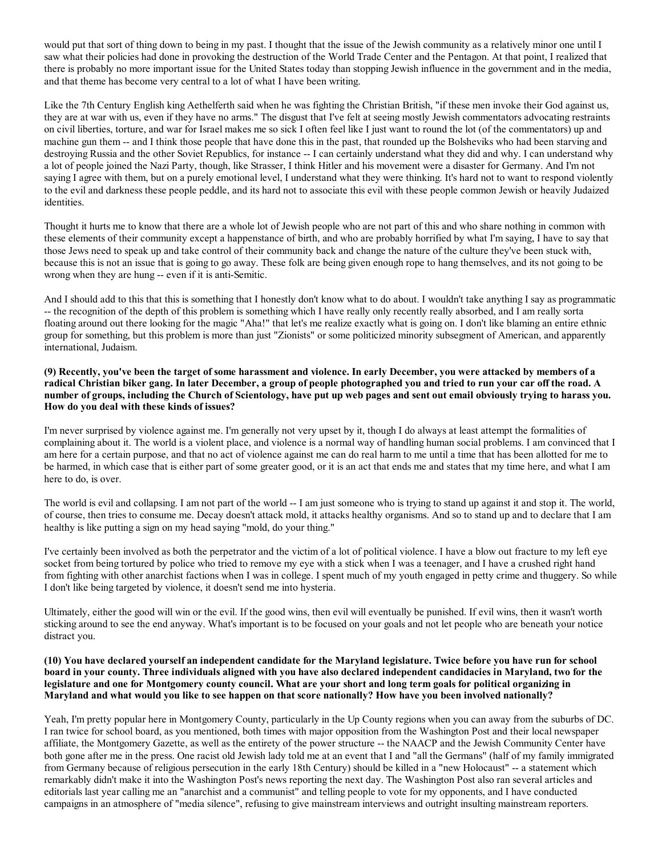would put that sort of thing down to being in my past. I thought that the issue of the Jewish community as a relatively minor one until I saw what their policies had done in provoking the destruction of the World Trade Center and the Pentagon. At that point, I realized that there is probably no more important issue for the United States today than stopping Jewish influence in the government and in the media, and that theme has become very central to a lot of what I have been writing.

Like the 7th Century English king Aethelferth said when he was fighting the Christian British, "if these men invoke their God against us, they are at war with us, even if they have no arms." The disgust that I've felt at seeing mostly Jewish commentators advocating restraints on civil liberties, torture, and war for Israel makes me so sick I often feel like I just want to round the lot (of the commentators) up and machine gun them -- and I think those people that have done this in the past, that rounded up the Bolsheviks who had been starving and destroying Russia and the other Soviet Republics, for instance -- I can certainly understand what they did and why. I can understand why a lot of people joined the Nazi Party, though, like Strasser, I think Hitler and his movement were a disaster for Germany. And I'm not saying I agree with them, but on a purely emotional level, I understand what they were thinking. It's hard not to want to respond violently to the evil and darkness these people peddle, and its hard not to associate this evil with these people common Jewish or heavily Judaized identities.

Thought it hurts me to know that there are a whole lot of Jewish people who are not part of this and who share nothing in common with these elements of their community except a happenstance of birth, and who are probably horrified by what I'm saying, I have to say that those Jews need to speak up and take control of their community back and change the nature of the culture they've been stuck with, because this is not an issue that is going to go away. These folk are being given enough rope to hang themselves, and its not going to be wrong when they are hung -- even if it is anti-Semitic.

And I should add to this that this is something that I honestly don't know what to do about. I wouldn't take anything I say as programmatic -- the recognition of the depth of this problem is something which I have really only recently really absorbed, and I am really sorta floating around out there looking for the magic "Aha!" that let's me realize exactly what is going on. I don't like blaming an entire ethnic group for something, but this problem is more than just "Zionists" or some politicized minority subsegment of American, and apparently international, Judaism.

(9) Recently, you've been the target of some harassment and violence. In early December, you were attacked by members of a radical Christian biker gang. In later December, a group of people photographed you and tried to run your car off the road. A number of groups, including the Church of Scientology, have put up web pages and sent out email obviously trying to harass you. How do you deal with these kinds of issues?

I'm never surprised by violence against me. I'm generally not very upset by it, though I do always at least attempt the formalities of complaining about it. The world is a violent place, and violence is a normal way of handling human social problems. I am convinced that I am here for a certain purpose, and that no act of violence against me can do real harm to me until a time that has been allotted for me to be harmed, in which case that is either part of some greater good, or it is an act that ends me and states that my time here, and what I am here to do, is over.

The world is evil and collapsing. I am not part of the world -- I am just someone who is trying to stand up against it and stop it. The world, of course, then tries to consume me. Decay doesn't attack mold, it attacks healthy organisms. And so to stand up and to declare that I am healthy is like putting a sign on my head saying "mold, do your thing."

I've certainly been involved as both the perpetrator and the victim of a lot of political violence. I have a blow out fracture to my left eye socket from being tortured by police who tried to remove my eye with a stick when I was a teenager, and I have a crushed right hand from fighting with other anarchist factions when I was in college. I spent much of my youth engaged in petty crime and thuggery. So while I don't like being targeted by violence, it doesn't send me into hysteria.

Ultimately, either the good will win or the evil. If the good wins, then evil will eventually be punished. If evil wins, then it wasn't worth sticking around to see the end anyway. What's important is to be focused on your goals and not let people who are beneath your notice distract you.

(10) You have declared yourself an independent candidate for the Maryland legislature. Twice before you have run for school board in your county. Three individuals aligned with you have also declared independent candidacies in Maryland, two for the legislature and one for Montgomery county council. What are your short and long term goals for political organizing in Maryland and what would you like to see happen on that score nationally? How have you been involved nationally?

Yeah, I'm pretty popular here in Montgomery County, particularly in the Up County regions when you can away from the suburbs of DC. I ran twice for school board, as you mentioned, both times with major opposition from the Washington Post and their local newspaper affiliate, the Montgomery Gazette, as well as the entirety of the power structure -- the NAACP and the Jewish Community Center have both gone after me in the press. One racist old Jewish lady told me at an event that I and "all the Germans" (half of my family immigrated from Germany because of religious persecution in the early 18th Century) should be killed in a "new Holocaust" -- a statement which remarkably didn't make it into the Washington Post's news reporting the next day. The Washington Post also ran several articles and editorials last year calling me an "anarchist and a communist" and telling people to vote for my opponents, and I have conducted campaigns in an atmosphere of "media silence", refusing to give mainstream interviews and outright insulting mainstream reporters.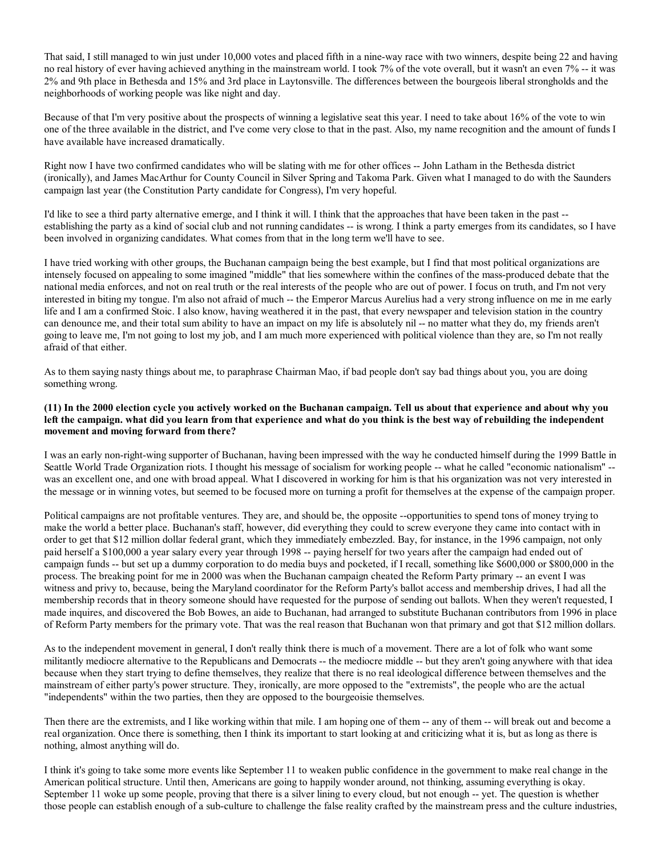That said, I still managed to win just under 10,000 votes and placed fifth in a nine-way race with two winners, despite being 22 and having no real history of ever having achieved anything in the mainstream world. I took 7% of the vote overall, but it wasn't an even 7% -- it was 2% and 9th place in Bethesda and 15% and 3rd place in Laytonsville. The differences between the bourgeois liberal strongholds and the neighborhoods of working people was like night and day.

Because of that I'm very positive about the prospects of winning a legislative seat this year. I need to take about 16% of the vote to win one of the three available in the district, and I've come very close to that in the past. Also, my name recognition and the amount of funds I have available have increased dramatically.

Right now I have two confirmed candidates who will be slating with me for other offices -- John Latham in the Bethesda district (ironically), and James MacArthur for County Council in Silver Spring and Takoma Park. Given what I managed to do with the Saunders campaign last year (the Constitution Party candidate for Congress), I'm very hopeful.

I'd like to see a third party alternative emerge, and I think it will. I think that the approaches that have been taken in the past - establishing the party as a kind of social club and not running candidates -- is wrong. I think a party emerges from its candidates, so I have been involved in organizing candidates. What comes from that in the long term we'll have to see.

I have tried working with other groups, the Buchanan campaign being the best example, but I find that most political organizations are intensely focused on appealing to some imagined "middle" that lies somewhere within the confines of the mass-produced debate that the national media enforces, and not on real truth or the real interests of the people who are out of power. I focus on truth, and I'm not very interested in biting my tongue. I'm also not afraid of much -- the Emperor Marcus Aurelius had a very strong influence on me in me early life and I am a confirmed Stoic. I also know, having weathered it in the past, that every newspaper and television station in the country can denounce me, and their total sum ability to have an impact on my life is absolutely nil -- no matter what they do, my friends aren't going to leave me, I'm not going to lost my job, and I am much more experienced with political violence than they are, so I'm not really afraid of that either.

As to them saying nasty things about me, to paraphrase Chairman Mao, if bad people don't say bad things about you, you are doing something wrong.

### (11) In the 2000 election cycle you actively worked on the Buchanan campaign. Tell us about that experience and about why you left the campaign. what did you learn from that experience and what do you think is the best way of rebuilding the independent movement and moving forward from there?

I was an early non-right-wing supporter of Buchanan, having been impressed with the way he conducted himself during the 1999 Battle in Seattle World Trade Organization riots. I thought his message of socialism for working people -- what he called "economic nationalism" - was an excellent one, and one with broad appeal. What I discovered in working for him is that his organization was not very interested in the message or in winning votes, but seemed to be focused more on turning a profit for themselves at the expense of the campaign proper.

Political campaigns are not profitable ventures. They are, and should be, the opposite --opportunities to spend tons of money trying to make the world a better place. Buchanan's staff, however, did everything they could to screw everyone they came into contact with in order to get that \$12 million dollar federal grant, which they immediately embezzled. Bay, for instance, in the 1996 campaign, not only paid herself a \$100,000 a year salary every year through 1998 -- paying herself for two years after the campaign had ended out of campaign funds -- but set up a dummy corporation to do media buys and pocketed, if I recall, something like \$600,000 or \$800,000 in the process. The breaking point for me in 2000 was when the Buchanan campaign cheated the Reform Party primary -- an event I was witness and privy to, because, being the Maryland coordinator for the Reform Party's ballot access and membership drives, I had all the membership records that in theory someone should have requested for the purpose of sending out ballots. When they weren't requested, I made inquires, and discovered the Bob Bowes, an aide to Buchanan, had arranged to substitute Buchanan contributors from 1996 in place of Reform Party members for the primary vote. That was the real reason that Buchanan won that primary and got that \$12 million dollars.

As to the independent movement in general, I don't really think there is much of a movement. There are a lot of folk who want some militantly mediocre alternative to the Republicans and Democrats -- the mediocre middle -- but they aren't going anywhere with that idea because when they start trying to define themselves, they realize that there is no real ideological difference between themselves and the mainstream of either party's power structure. They, ironically, are more opposed to the "extremists", the people who are the actual "independents" within the two parties, then they are opposed to the bourgeoisie themselves.

Then there are the extremists, and I like working within that mile. I am hoping one of them -- any of them -- will break out and become a real organization. Once there is something, then I think its important to start looking at and criticizing what it is, but as long as there is nothing, almost anything will do.

I think it's going to take some more events like September 11 to weaken public confidence in the government to make real change in the American political structure. Until then, Americans are going to happily wonder around, not thinking, assuming everything is okay. September 11 woke up some people, proving that there is a silver lining to every cloud, but not enough -- yet. The question is whether those people can establish enough of a sub-culture to challenge the false reality crafted by the mainstream press and the culture industries,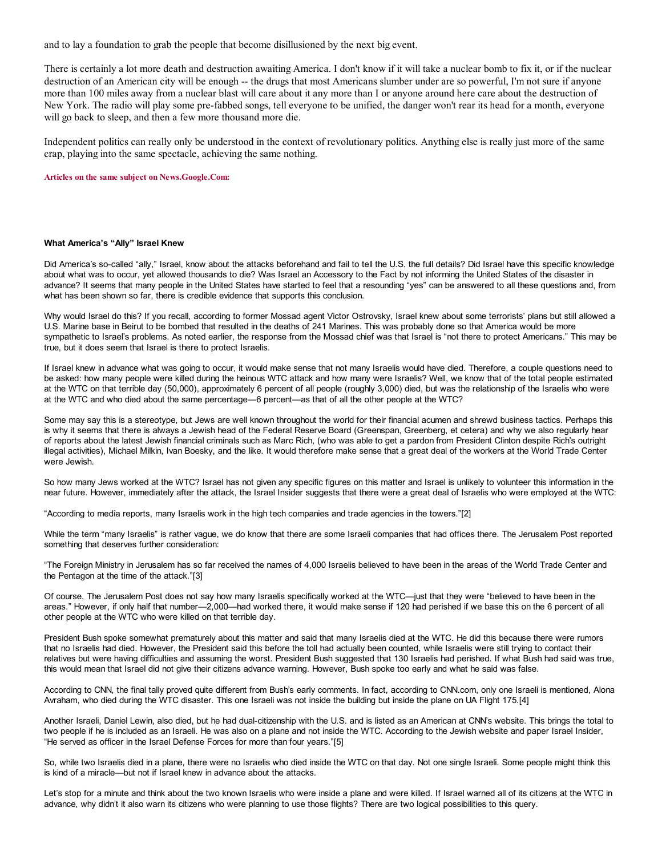and to lay a foundation to grab the people that become disillusioned by the next big event.

There is certainly a lot more death and destruction awaiting America. I don't know if it will take a nuclear bomb to fix it, or if the nuclear destruction of an American city will be enough -- the drugs that most Americans slumber under are so powerful, I'm not sure if anyone more than 100 miles away from a nuclear blast will care about it any more than I or anyone around here care about the destruction of New York. The radio will play some pre-fabbed songs, tell everyone to be unified, the danger won't rear its head for a month, everyone will go back to sleep, and then a few more thousand more die.

Independent politics can really only be understood in the context of revolutionary politics. Anything else is really just more of the same crap, playing into the same spectacle, achieving the same nothing.

#### Articles on the same subject on News.Google.Com:

#### What America's "Ally" Israel Knew

Did America's so-called "ally," Israel, know about the attacks beforehand and fail to tell the U.S. the full details? Did Israel have this specific knowledge about what was to occur, yet allowed thousands to die? Was Israel an Accessory to the Fact by not informing the United States of the disaster in advance? It seems that many people in the United States have started to feel that a resounding "yes" can be answered to all these questions and, from what has been shown so far, there is credible evidence that supports this conclusion.

Why would Israel do this? If you recall, according to former Mossad agent Victor Ostrovsky, Israel knew about some terrorists' plans but still allowed a U.S. Marine base in Beirut to be bombed that resulted in the deaths of 241 Marines. This was probably done so that America would be more sympathetic to Israel's problems. As noted earlier, the response from the Mossad chief was that Israel is "not there to protect Americans." This may be true, but it does seem that Israel is there to protect Israelis.

If Israel knew in advance what was going to occur, it would make sense that not many Israelis would have died. Therefore, a couple questions need to be asked: how many people were killed during the heinous WTC attack and how many were Israelis? Well, we know that of the total people estimated at the WTC on that terrible day (50,000), approximately 6 percent of all people (roughly 3,000) died, but was the relationship of the Israelis who were at the WTC and who died about the same percentage—6 percent—as that of all the other people at the WTC?

Some may say this is a stereotype, but Jews are well known throughout the world for their financial acumen and shrewd business tactics. Perhaps this is why it seems that there is always a Jewish head of the Federal Reserve Board (Greenspan, Greenberg, et cetera) and why we also regularly hear of reports about the latest Jewish financial criminals such as Marc Rich, (who was able to get a pardon from President Clinton despite Rich's outright illegal activities), Michael Milkin, Ivan Boesky, and the like. It would therefore make sense that a great deal of the workers at the World Trade Center were Jewish.

So how many Jews worked at the WTC? Israel has not given any specific figures on this matter and Israel is unlikely to volunteer this information in the near future. However, immediately after the attack, the Israel Insider suggests that there were a great deal of Israelis who were employed at the WTC:

"According to media reports, many Israelis work in the high tech companies and trade agencies in the towers."[2]

While the term "many Israelis" is rather vague, we do know that there are some Israeli companies that had offices there. The Jerusalem Post reported something that deserves further consideration:

"The Foreign Ministry in Jerusalem has so far received the names of 4,000 Israelis believed to have been in the areas of the World Trade Center and the Pentagon at the time of the attack."[3]

Of course, The Jerusalem Post does not say how many Israelis specifically worked at the WTC—just that they were "believed to have been in the areas." However, if only half that number—2,000—had worked there, it would make sense if 120 had perished if we base this on the 6 percent of all other people at the WTC who were killed on that terrible day.

President Bush spoke somewhat prematurely about this matter and said that many Israelis died at the WTC. He did this because there were rumors that no Israelis had died. However, the President said this before the toll had actually been counted, while Israelis were still trying to contact their relatives but were having difficulties and assuming the worst. President Bush suggested that 130 Israelis had perished. If what Bush had said was true, this would mean that Israel did not give their citizens advance warning. However, Bush spoke too early and what he said was false.

According to CNN, the final tally proved quite different from Bush's early comments. In fact, according to CNN.com, only one Israeli is mentioned, Alona Avraham, who died during the WTC disaster. This one Israeli was not inside the building but inside the plane on UA Flight 175.[4]

Another Israeli, Daniel Lewin, also died, but he had dual-citizenship with the U.S. and is listed as an American at CNN's website. This brings the total to two people if he is included as an Israeli. He was also on a plane and not inside the WTC. According to the Jewish website and paper Israel Insider, "He served as officer in the Israel Defense Forces for more than four years."[5]

So, while two Israelis died in a plane, there were no Israelis who died inside the WTC on that day. Not one single Israeli. Some people might think this is kind of a miracle—but not if Israel knew in advance about the attacks.

Let's stop for a minute and think about the two known Israelis who were inside a plane and were killed. If Israel warned all of its citizens at the WTC in advance, why didn't it also warn its citizens who were planning to use those flights? There are two logical possibilities to this query.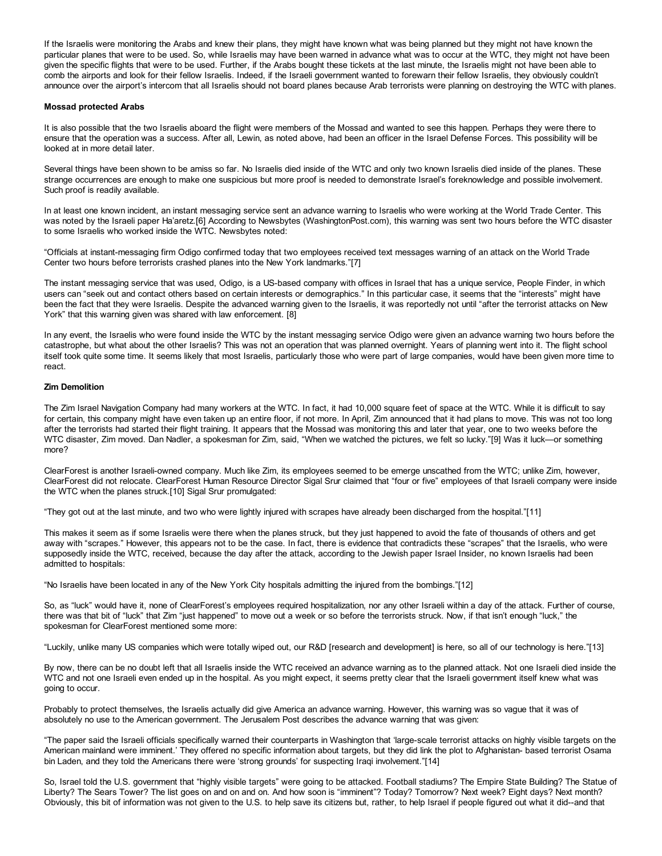If the Israelis were monitoring the Arabs and knew their plans, they might have known what was being planned but they might not have known the particular planes that were to be used. So, while Israelis may have been warned in advance what was to occur at the WTC, they might not have been given the specific flights that were to be used. Further, if the Arabs bought these tickets at the last minute, the Israelis might not have been able to comb the airports and look for their fellow Israelis. Indeed, if the Israeli government wanted to forewarn their fellow Israelis, they obviously couldn't announce over the airport's intercom that all Israelis should not board planes because Arab terrorists were planning on destroying the WTC with planes.

#### Mossad protected Arabs

It is also possible that the two Israelis aboard the flight were members of the Mossad and wanted to see this happen. Perhaps they were there to ensure that the operation was a success. After all, Lewin, as noted above, had been an officer in the Israel Defense Forces. This possibility will be looked at in more detail later.

Several things have been shown to be amiss so far. No Israelis died inside of the WTC and only two known Israelis died inside of the planes. These strange occurrences are enough to make one suspicious but more proof is needed to demonstrate Israel's foreknowledge and possible involvement. Such proof is readily available.

In at least one known incident, an instant messaging service sent an advance warning to Israelis who were working at the World Trade Center. This was noted by the Israeli paper Ha'aretz.[6] According to Newsbytes (WashingtonPost.com), this warning was sent two hours before the WTC disaster to some Israelis who worked inside the WTC. Newsbytes noted:

"Officials at instant-messaging firm Odigo confirmed today that two employees received text messages warning of an attack on the World Trade Center two hours before terrorists crashed planes into the New York landmarks."[7]

The instant messaging service that was used, Odigo, is a US-based company with offices in Israel that has a unique service, People Finder, in which users can "seek out and contact others based on certain interests or demographics." In this particular case, it seems that the "interests" might have been the fact that they were Israelis. Despite the advanced warning given to the Israelis, it was reportedly not until "after the terrorist attacks on New York" that this warning given was shared with law enforcement. [8]

In any event, the Israelis who were found inside the WTC by the instant messaging service Odigo were given an advance warning two hours before the catastrophe, but what about the other Israelis? This was not an operation that was planned overnight. Years of planning went into it. The flight school itself took quite some time. It seems likely that most Israelis, particularly those who were part of large companies, would have been given more time to react.

#### Zim Demolition

The Zim Israel Navigation Company had many workers at the WTC. In fact, it had 10,000 square feet of space at the WTC. While it is difficult to say for certain, this company might have even taken up an entire floor, if not more. In April, Zim announced that it had plans to move. This was not too long after the terrorists had started their flight training. It appears that the Mossad was monitoring this and later that year, one to two weeks before the WTC disaster, Zim moved. Dan Nadler, a spokesman for Zim, said, "When we watched the pictures, we felt so lucky."[9] Was it luck—or something more?

ClearForest is another Israeli-owned company. Much like Zim, its employees seemed to be emerge unscathed from the WTC; unlike Zim, however, ClearForest did not relocate. ClearForest Human Resource Director Sigal Srur claimed that "four or five" employees of that Israeli company were inside the WTC when the planes struck.[10] Sigal Srur promulgated:

"They got out at the last minute, and two who were lightly injured with scrapes have already been discharged from the hospital."[11]

This makes it seem as if some Israelis were there when the planes struck, but they just happened to avoid the fate of thousands of others and get away with "scrapes." However, this appears not to be the case. In fact, there is evidence that contradicts these "scrapes" that the Israelis, who were supposedly inside the WTC, received, because the day after the attack, according to the Jewish paper Israel Insider, no known Israelis had been admitted to hospitals:

"No Israelis have been located in any of the New York City hospitals admitting the injured from the bombings."[12]

So, as "luck" would have it, none of ClearForest's employees required hospitalization, nor any other Israeli within a day of the attack. Further of course, there was that bit of "luck" that Zim "just happened" to move out a week or so before the terrorists struck. Now, if that isn't enough "luck," the spokesman for ClearForest mentioned some more:

"Luckily, unlike many US companies which were totally wiped out, our R&D [research and development] is here, so all of our technology is here."[13]

By now, there can be no doubt left that all Israelis inside the WTC received an advance warning as to the planned attack. Not one Israeli died inside the WTC and not one Israeli even ended up in the hospital. As you might expect, it seems pretty clear that the Israeli government itself knew what was going to occur.

Probably to protect themselves, the Israelis actually did give America an advance warning. However, this warning was so vague that it was of absolutely no use to the American government. The Jerusalem Post describes the advance warning that was given:

"The paper said the Israeli officials specifically warned their counterparts in Washington that 'large-scale terrorist attacks on highly visible targets on the American mainland were imminent.' They offered no specific information about targets, but they did link the plot to Afghanistan- based terrorist Osama bin Laden, and they told the Americans there were 'strong grounds' for suspecting Iraqi involvement."[14]

So, Israel told the U.S. government that "highly visible targets" were going to be attacked. Football stadiums? The Empire State Building? The Statue of Liberty? The Sears Tower? The list goes on and on and on. And how soon is "imminent"? Today? Tomorrow? Next week? Eight days? Next month? Obviously, this bit of information was not given to the U.S. to help save its citizens but, rather, to help Israel if people figured out what it did--and that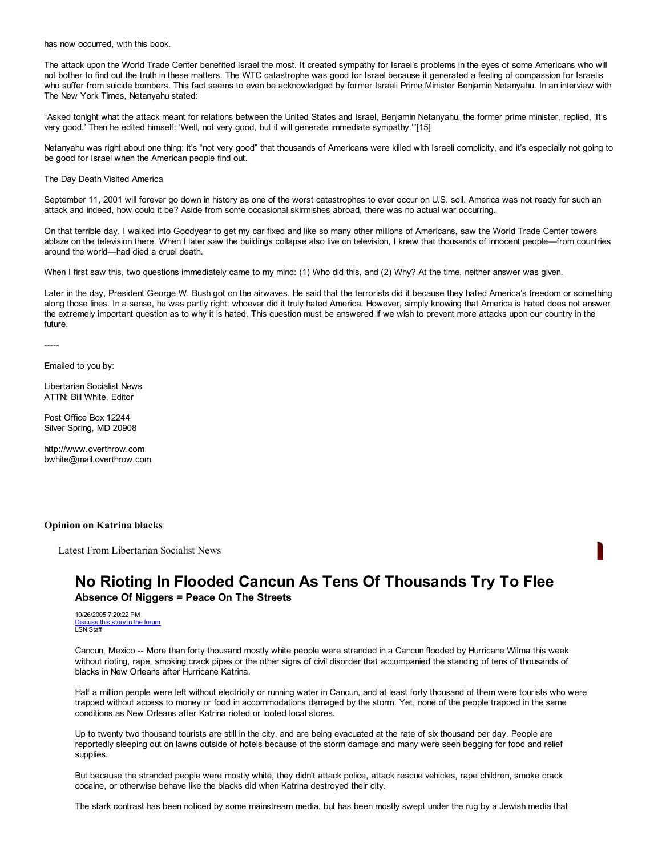has now occurred, with this book.

The attack upon the World Trade Center benefited Israel the most. It created sympathy for Israel's problems in the eyes of some Americans who will not bother to find out the truth in these matters. The WTC catastrophe was good for Israel because it generated a feeling of compassion for Israelis who suffer from suicide bombers. This fact seems to even be acknowledged by former Israeli Prime Minister Benjamin Netanyahu. In an interview with The New York Times, Netanyahu stated:

"Asked tonight what the attack meant for relations between the United States and Israel, Benjamin Netanyahu, the former prime minister, replied, 'It's very good.' Then he edited himself: 'Well, not very good, but it will generate immediate sympathy.'"[15]

Netanyahu was right about one thing: it's "not very good" that thousands of Americans were killed with Israeli complicity, and it's especially not going to be good for Israel when the American people find out.

The Day Death Visited America

September 11, 2001 will forever go down in history as one of the worst catastrophes to ever occur on U.S. soil. America was not ready for such an attack and indeed, how could it be? Aside from some occasional skirmishes abroad, there was no actual war occurring.

On that terrible day, I walked into Goodyear to get my car fixed and like so many other millions of Americans, saw the World Trade Center towers ablaze on the television there. When I later saw the buildings collapse also live on television, I knew that thousands of innocent people—from countries around the world—had died a cruel death.

When I first saw this, two questions immediately came to my mind: (1) Who did this, and (2) Why? At the time, neither answer was given.

Later in the day, President George W. Bush got on the airwaves. He said that the terrorists did it because they hated America's freedom or something along those lines. In a sense, he was partly right: whoever did it truly hated America. However, simply knowing that America is hated does not answer the extremely important question as to why it is hated. This question must be answered if we wish to prevent more attacks upon our country in the future.

-----

Emailed to you by:

Libertarian Socialist News ATTN: Bill White, Editor

Post Office Box 12244 Silver Spring, MD 20908

http://www.overthrow.com bwhite@mail.overthrow.com

#### Opinion on Katrina blacks

Latest From Libertarian Socialist News

# No Rioting In Flooded Cancun As Tens Of Thousands Try To Flee

Absence Of Niggers = Peace On The Streets

10/26/2005 7:20:22 PM Discuss this story in the forum LSN Staff

Cancun, Mexico -- More than forty thousand mostly white people were stranded in a Cancun flooded by Hurricane Wilma this week without rioting, rape, smoking crack pipes or the other signs of civil disorder that accompanied the standing of tens of thousands of blacks in New Orleans after Hurricane Katrina.

Half a million people were left without electricity or running water in Cancun, and at least forty thousand of them were tourists who were trapped without access to money or food in accommodations damaged by the storm. Yet, none of the people trapped in the same conditions as New Orleans after Katrina rioted or looted local stores.

Up to twenty two thousand tourists are still in the city, and are being evacuated at the rate of six thousand per day. People are reportedly sleeping out on lawns outside of hotels because of the storm damage and many were seen begging for food and relief supplies.

But because the stranded people were mostly white, they didn't attack police, attack rescue vehicles, rape children, smoke crack cocaine, or otherwise behave like the blacks did when Katrina destroyed their city.

The stark contrast has been noticed by some mainstream media, but has been mostly swept under the rug by a Jewish media that